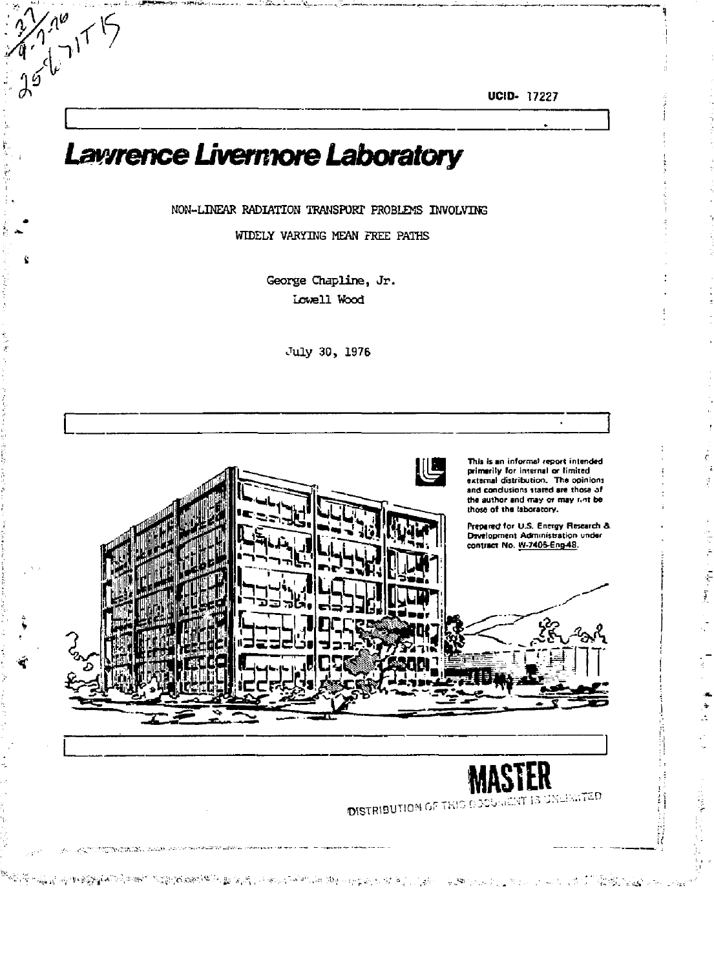**UCID-** 17227

# *Lawrence Livermore Laboratory*

*%* 

7مهلج<br>مس

NON-LINEAR RADIATION TRANSPORT PROBLEMS INVOLVING

WIDELY VARYING MEAN FREE PATHS

George Chapline, Jr. Lowell Wood

July 30, 1976

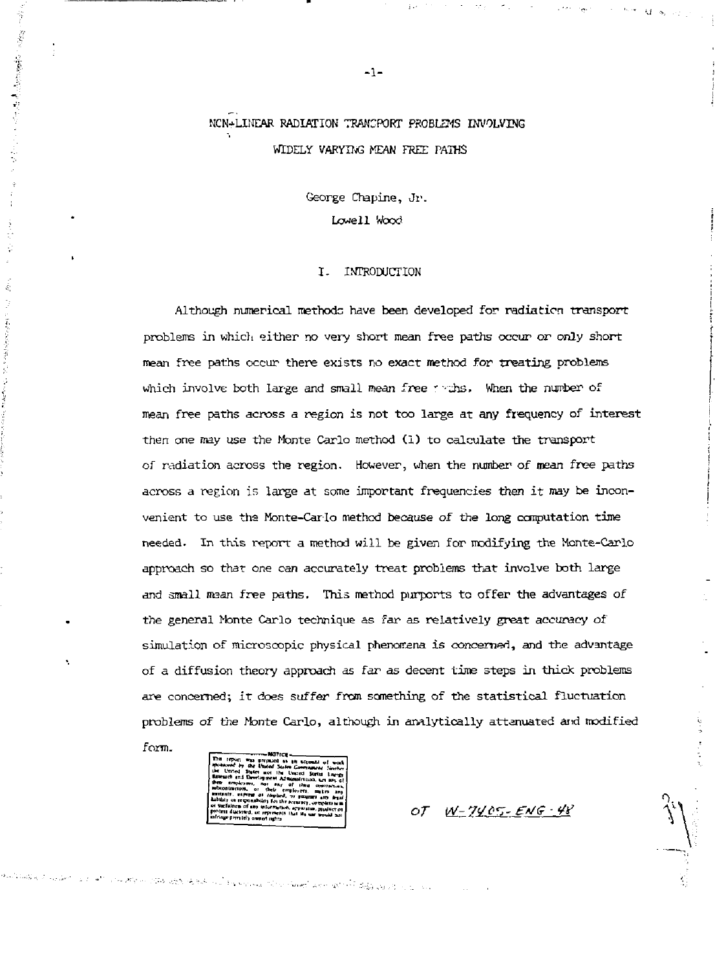## NCN+LINEAR RADIATION TRANCPORT PROBLEMS INVOLVING WIDELY VARYING MEAN FREE PATHS

George Chapine, Jr. Lowell Wood

#### I. INTRODUCTION

Although numerical methods have been developed for radiation transport problems in which either no very short mean free paths occur or only short mean free paths occur there exists no exact method for treating problems which involve both large and small mean free  $\gamma$  ths. When the number of mean free paths across a region is not too large at any frequency of interest then one may use the Monte Carlo method (1) to calculate the transport of radiation across the region. However, when the number of mean free paths across a region is large at some important frequencies then it may be inconvenient to use the Monte-Carlo method because of the long computation time needed. In this report a method will be given for modifying the Monte-Carlo approach so that one can accurately treat problems that involve both large and small mean free paths. This method purports to offer the advantages of the general Nonte Carlo technique as far as relatively great accuracy of simulation of microscopic physical phenomena is concerned, and the advantage of a diffusion theory approach as far as decent time steps in thick problems are concerned; it does suffer from something of the statistical fluctuation problems of the Monte Carlo, although in analytically attenuated and modified

form.

ś

Freehouse Side House and with Edge and the con-

OT  $W-7405$ -ENG-48

 $-1-$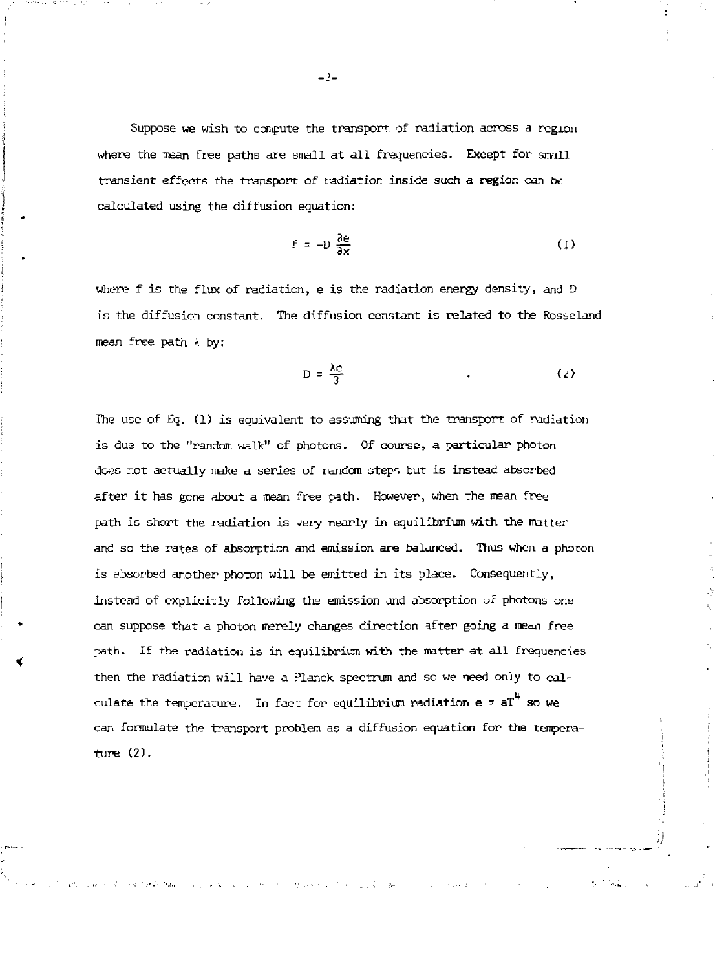Suppose we wish to compute the transport of radiation across a region where the mean free paths are small at all frequencies. Except for small transient effects the transport of radiation inside such a region can be calculated using the diffusion equation:

$$
f = -D \frac{\partial e}{\partial x} \tag{1}
$$

where f is the flux of radiation, e is the radiation energy density, and *D*  is the diffusion constant. The diffusion constant is related to the Rosseland mean free path *X* by:

$$
D = \frac{\lambda c}{3} \tag{2}
$$

The use of Eq. (1) is equivalent to assuming that the transport of radiation is due to the "random walk" of photons. Of course, a particular photon does not actually make a series of random steps but is instead absorbed after it has gone about a mean free path. However, when the mean free path is short the radiation is very nearly in equilibrium with the matter and so the rates of absorption and emission are balanced. Thus when a photon is absorbed another photon will be emitted in its place. Consequently, instead of explicitly following the emission and absorption of photons one can suppose that a photon merely changes direction after going a mean free path. If the radiation is in equilibrium with the matter at all frequencies then the radiation will have a Planck spectrum and so we need only to calculate the temperature. In fact for equilibrium radiation  ${\rm e}$  =  ${\rm aT}^{\rm 4}$  so we can formulate the transport problem as a diffusion equation for the temperature (2).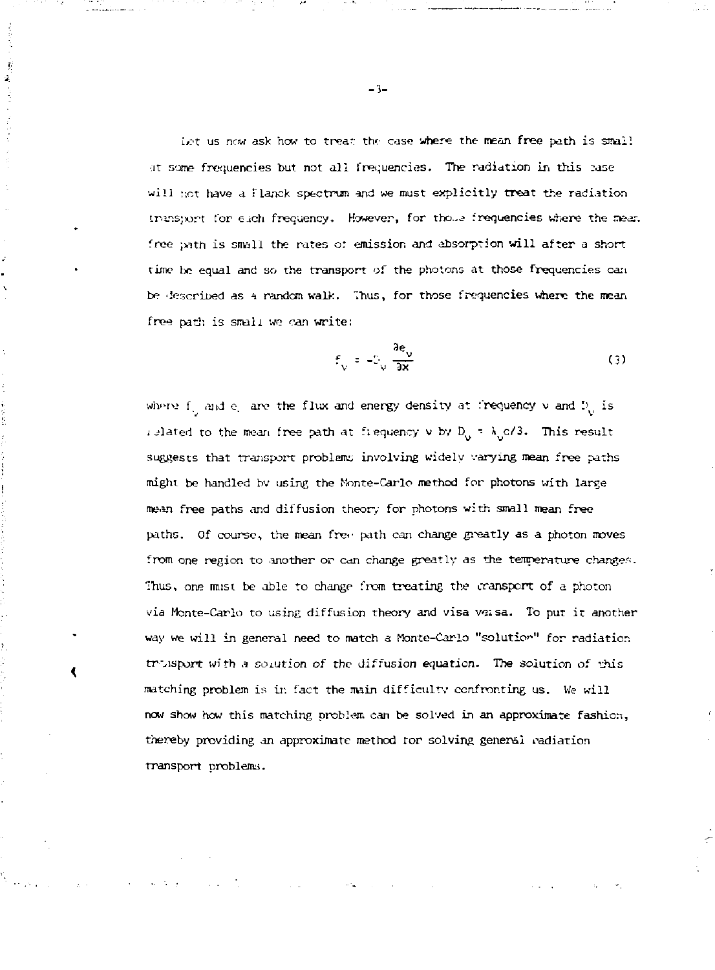int us now ask how to tream the case where the mean free path is small at some frequencies but not all frequencies. The radiation in this *rase* will not have a Planck spectrum and we must explicitly treat the radiation trans;xort for each frequency. However, for those frequencies where the mean free ; ath is small the rates of emission and absorption will after a short time be equal and so the transport of the photons at those frequencies can bp described as *t* random walk, Thus, for those frequencies where the mean free path is small we can write:

$$
f_{\sqrt{2}} = -\frac{\partial e_{\sqrt{2}}}{\partial x} \tag{3}
$$

where  $f_{ij}$  and  $e_i$  are the flux and energy density at frequency  $v$  and  $D_{ij}$  is islated to the mean free path at frequency  $v$  by  $D_0 = \lambda_0 c/3$ . This result j elated to the mean free path at free path at  $\mathcal{V} = \mathcal{V}$ might be handled by using the Monte-Carlo method for photons with large paths. Of course, the mean free path can change greatly as a photon moves from one region to .another or can change greatly as the temperature change.':. Thus, one must be able to change from treating the transport of a photon via Monte-Carlo to using diffusion theory and visa voisa. To put it another way we will include the match a Monte-Carlo "solution" for radiation for radiation  $\mathcal{C}$ trvispor\* with a solution *of* the diffusion equation. The solution of this matching problem is in. fact the main different problem is in the main different use  $\mathcal{L}$ now show how this matching problem can be solved in an approximate fashion, thereby providing an approximate method ror solving general radiation

transport problenw.

đ.

ÿ  $\hat{\mathbf{z}}$ 

**- 3 -**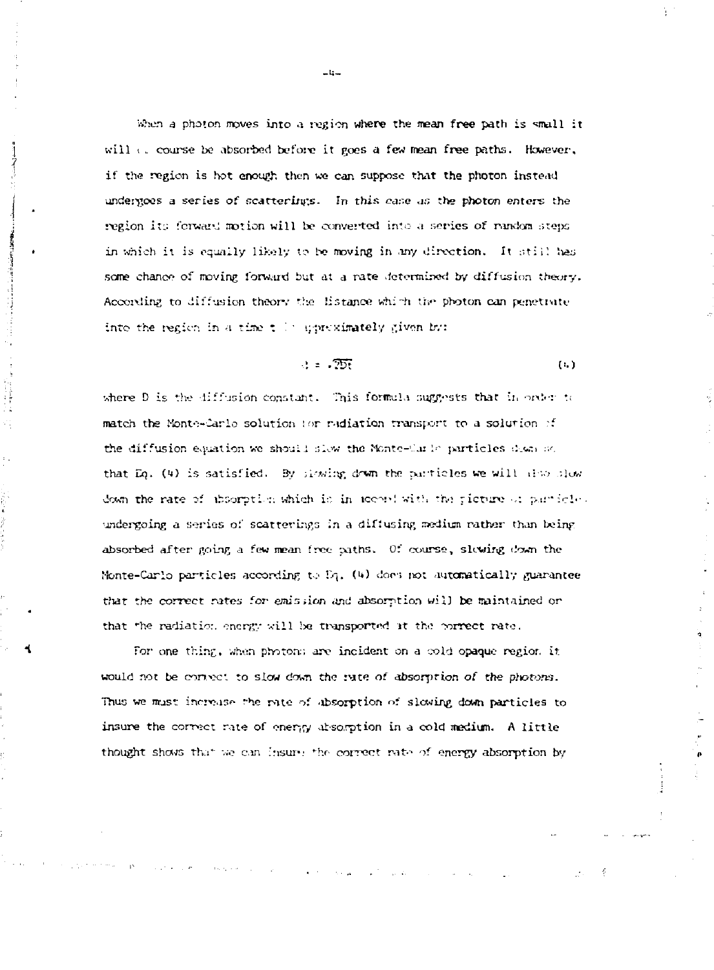When a photon moves into a region where the mean free path is small it will  $\epsilon$ , course be absorbed before it goes a few mean free paths. However, if the region is hot enough then we can suppose that the photon instead undergoes a series of scatterings. In this case as the photon enters the region its forward motion will be converted into a series of random steps in which it is equally likely to be moving in any direction. It still has some chance of moving forward but at a rate determined by diffusion theory. According to diffusion theory the listance which the photon can penetrate into the region in a time till uproximately given by:

> $\therefore$   $\therefore$   $\overline{255}$  $(1, )$

where D is the diffusion constant. This formula suggests that in order to match the Monte-Carlo solution for radiation transport to a solution of the diffusion equation we should slow the Monte-Carle particles down acthat Eq. (4) is satisfied. By signing down the particles we will also slow down the rate of absorption which is in accord with the picture of particle. undergoing a series of scatterings in a diffusing medium rather than being absorbed after going a few mean free paths. Of course, slowing down the Monte-Carlo particles according to Eq. (4) does not automatically guarantee that the correct rates for emission and absorption will be maintained or that the radiation energy will be transported it the correct rate.

For one thing, when photons are incident on a cold opaque region it would not be cornect to slow down the rate of absorption of the photons. Thus we must increase the rate of absorption of slowing down particles to insure the correct rate of energy absorption in a cold medium. A little thought shows that we can insure the correct rate of energy absorption by

سنخاد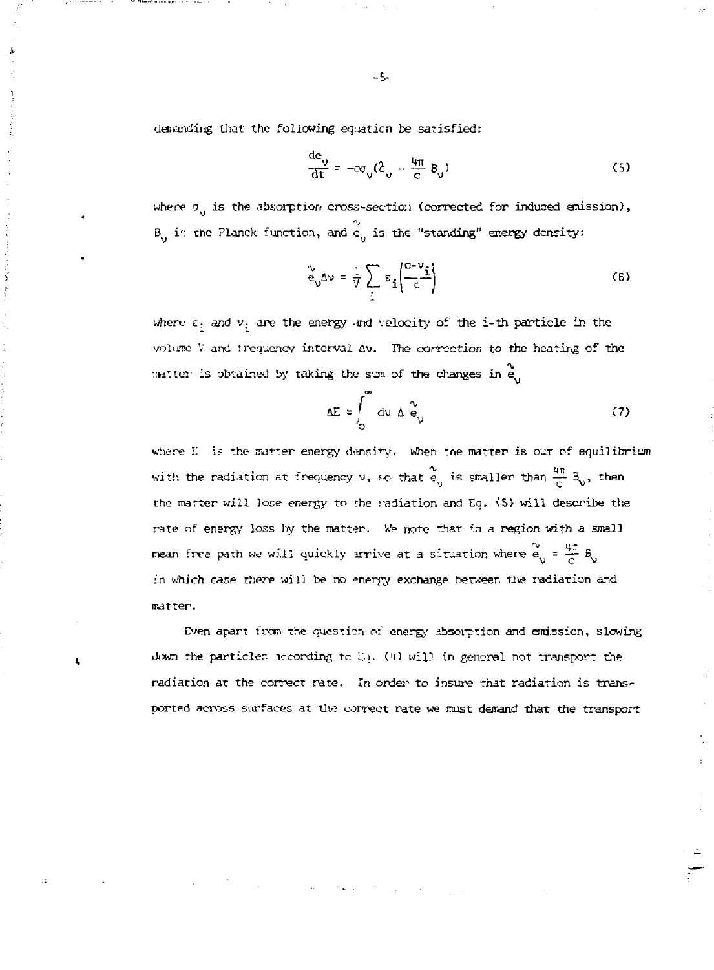demanding that the following *equation* be satisfied:

ý

$$
\frac{de_v}{dt} = -c\sigma_v(\hat{\epsilon}_v - \frac{4\pi}{c}B_v)
$$
 (5)

where  $\sigma_{ij}$  is the absorption cross-section (corrected for induced emission), *B<sub>1</sub>* i<sub>1</sub> the Planck function, and  $e^{\prime}_{ij}$  is the "standing" energy density:

$$
\frac{1}{\epsilon_0} \Delta v = \frac{1}{\gamma} \sum_i \epsilon_i \left( \frac{c - v_i}{c} \right) \tag{6}
$$

where  $\varepsilon_i$  and  $v_i$  are the energy and velocity of the i-th particle in the volume V and trequency interval Av. The correction to the heating of the  $m$ atter is obtained by taking the sum of the changes in  $e$ 

$$
\Delta E = \int_{0}^{\infty} dv \Delta \tilde{e}_{v} \qquad (7)
$$

where E. is the matter energy density. When the matter is out of equilibrium with the radiation at frequency  $v_1$  so that  $\tilde{e}_{ij}$  is smaller than  $\frac{4\pi}{6}$  B<sub>0</sub>, then the matter will lose energy to the radiation and EQ. <S> will describe the rate of energy loss by the matter. We note that in a region with a small mean free path we will quickly irrive at a situation where  $e_0 = \frac{4\pi}{C} B_0$ in which *case t'nere* will be no energy exchange be ween the radiation and matter.

Even apart from the question of energy absorption and emission, slowing Jiawn the particles iceording to L<sub>1</sub>. (4) will in general not transport the radiation at the correct rate. In order to insure that radiation is transported across surfaces at the correct rate we must demand that the transport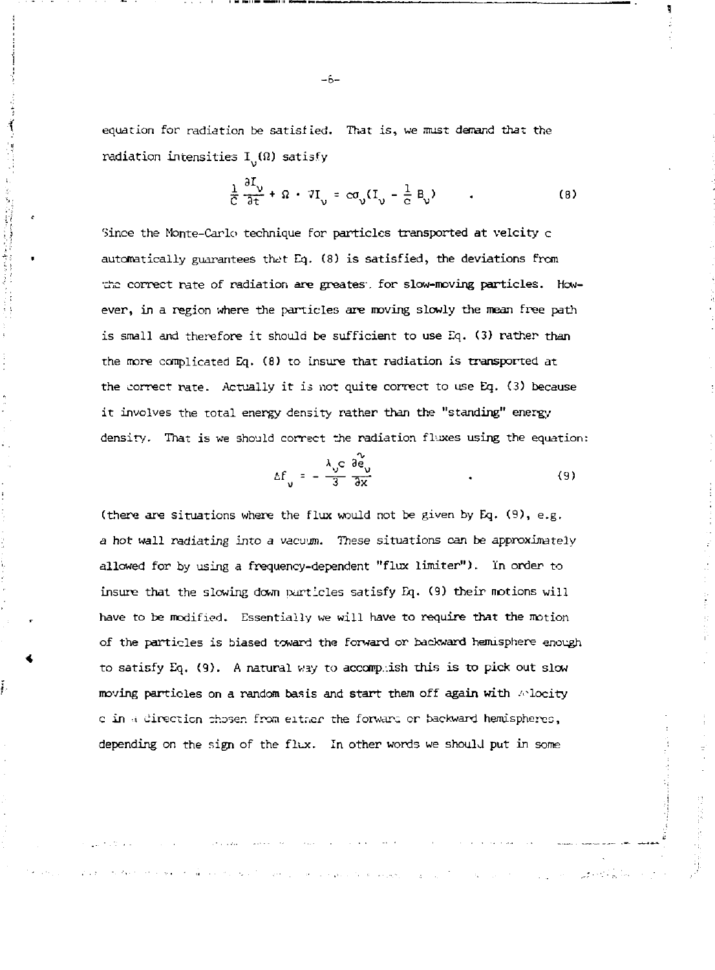equation for radiation be satisfied. That is, we must denand that the radiation intensities  $I_{ij}(\Omega)$  satisfy

$$
\frac{1}{C} \frac{\partial I_{\nu}}{\partial t} + \Omega \cdot \partial I_{\nu} = c \sigma_{\nu} (I_{\nu} - \frac{1}{C} B_{\nu}) \tag{8}
$$

Since the Monte-Carlo technique for particles transported at velcity c automatically guarantees that Eq. (8) is satisfied, the deviations from •che correct rate of radiation are greates\ for slow-moving particles. However, in a region where the particles are moving slowly the mean free path is small and therefore it should be sufficient to use Eq. (3) rather than the more complicated Eq. (8) to insure that radiation is transported at the correct rate. Actually it is not quite correct to use Eq. (3) because it involves the total energy density rather than the "standing" energy density. That is we should correct the radiation fluxes using the equation:

$$
\Delta f_{v} = -\frac{\lambda_{v}c}{3} \frac{\partial c_{v}}{\partial x}
$$
 (9)

(there are situations where the flux would not be given by Eq. (9), e.g. a hot wall radiating into a vacuum. These situations can be approximately allowed for by using a frequency-dependent "flux limiter"). in order to insure that the slowing down particles satisfy Eq. (9) their notions will have to be modified. Essentially we will have to require that the motion of the particles is biased toward the forward or backward hemisphere enough to satisfy Eq. (9). A natural way to accomplish this is to pick out slow moving particles on a random basis and start them off again with /'locity c in i cirecticn chosen from either the forward cr backward hemispheres, depending on the sign of the flux. In other words we should put in some

of the state of the monography of the coun-

 $-6-$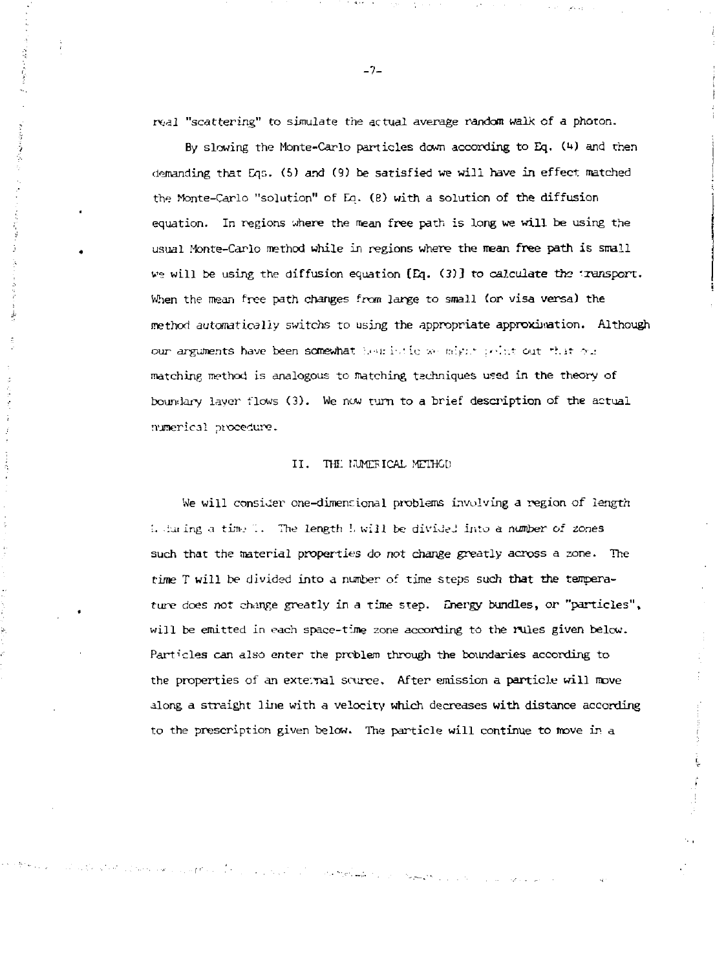rv.al "scattering" to simulate the actual average random walk of a photon.

By slowing the Monte-Carlo particles down according to Eq. (4) and then demanding that Eqs. {5) and (9) be satisfied we will have in effect rnatched the Monte-Carlo "solution" of Eq. (e) with a solution of the diffusion equation. In regions where the mean free path is long we will be using the usual Monte-Carlo method while in regions where the mean free path is small we will be using the diffusion equation (Eq. (3)] to calculate the 'ransport. When the mean free path changes from large to small (or visa versa) the method automatically switchs to using the appropriate approximation. Although our arguments have been somewhat hearistic we might point out that  $\gamma_{\mathcal{X}}$ matching method is analogous to matching techniques used in the theory of boundary layer flows (3). We now turn to a brief description of the actual numerical procedure.

#### II. THE IJUMEFICAL METHOD

We will consider one-dimensional problems involving a region of length is the ing a time T. The length !, will be divided into a number of zones such that the material properties do not change greatly across a zone. The time T will be divided into a number of time steps such that the temperature does not change greatly in a time step. Energy bundles, or "particles", will be emitted in each space-time zone according to the rules given below. Particles can also enter the problem through the boundaries according to the properties of an external source. After emission a particle will move along a straight line with a velocity which decreases with distance according to the prescription given below. The particle will continue to move in a

الراحلي وأطرح والمراد

a Diversion of the property of the

-7-

 $\label{eq:2} \mathcal{L}^{\text{L}}(\mathbf{r}) = \mathcal{L}^{\text{L}}(\mathbf{r}) + \mathcal{L}^{\text{L}}(\mathbf{r})$ 

**Concerne**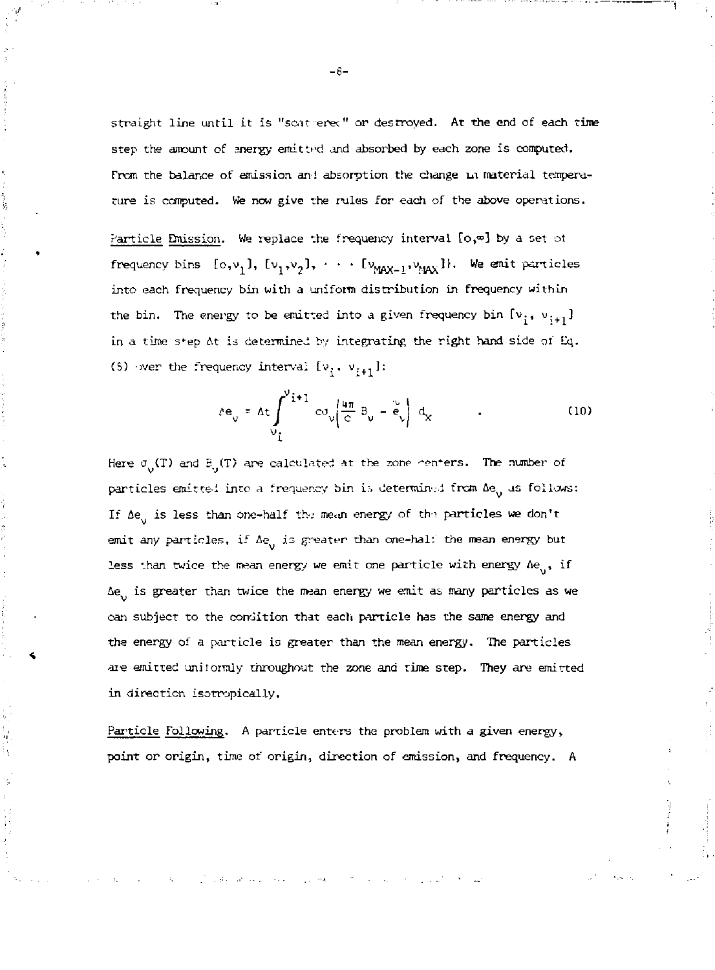straight line until it is "scat erec" or destroyed. At the end of each time step the amount of anergy emitted and absorbed by each zone is computed. From the balance of emission an! absorption the change in material temperature is computed. We now give the rules for each of the above operations.

Particle Emission. We replace the frequency interval  $[o, \varpi]$  by a set of frequency bins  $[0, v_1]$ ,  $[v_1, v_2]$ ,  $\cdots$   $[v_{MAX-1}, v_{MAX}']$ , we easily particle into each frequency bin with a uniform distribution in frequency within the bin. The energy to be emitted into a given frequency bin  $[v_{\frac{1}{2}}, v_{\frac{1}{2}+1}]$ in a time step At is determined by integrating the right hand side of Eq. (5) over the frequency interval  $[v_i, v_{i+1}]$ :

$$
\Delta e_{v} = \Delta t \int_{v_{\perp}}^{v_{\perp}+1} \text{Cov}_{v} \left( \frac{u_{\pi}}{c} B_{v} - e_{v} \right) d_{x}
$$
 (10)

Here  $\sigma_{\rm g}(T)$  and B<sub>1</sub>(T) are calculated at the zone centers. The number of particles emitted into a frequency bin is determined from Ae as follows: If  $\Delta e_{ij}$  is less than one-half the mean energy of the particles we don't emit any particles, if  $\Delta e_{ij}$  is greater than one-half the mean energy but less than twice the mean energy we emit one particle with energy  $Ae_{ij}$ , if  $\Delta e_{ij}$  is greater than twice the mean energy we emit as many particles as we can subject to the condition that each particle has the same energy and the energy of a particle is greater than the mean energy. The particles are emitted uniformly throughout the zone and time step. They are emitted in direction isotropically.

Particle Following. A particle enters the problem with a given energy, point or origin, time of origin, direction of emission, and frequency. A

 $-6-$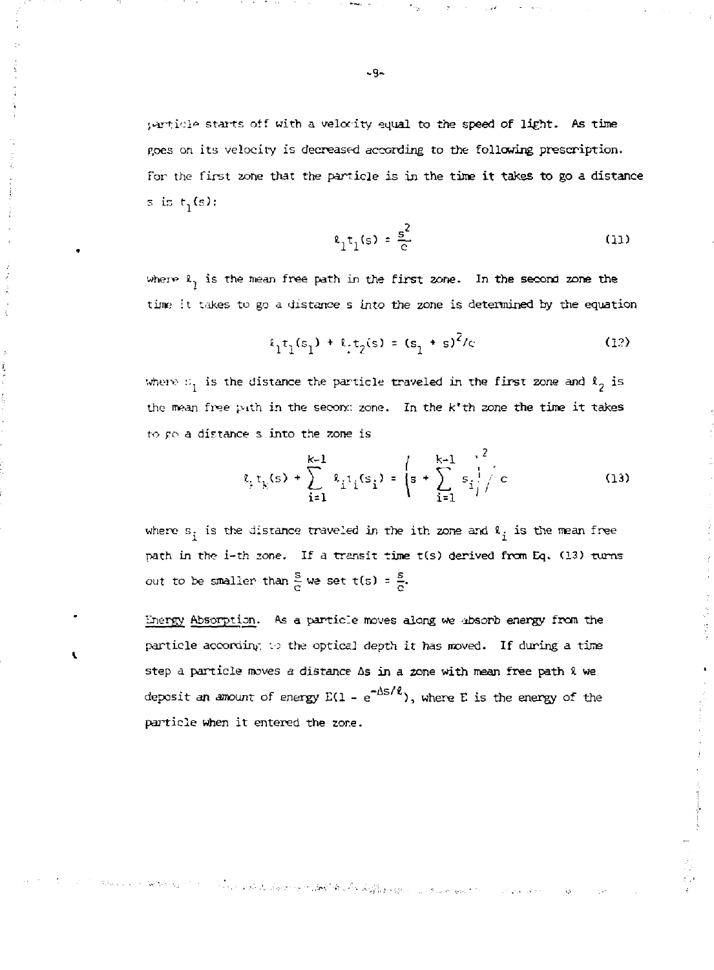particle starts off with a velocity equal to the speed of light. As time Roes on its velocity is decreased according to the following prescription. for the first zone that the particle is in the time it takes to go a distance s is  $t_1(s)$ :

$$
\epsilon_1 t_1(s) = \frac{s^2}{c} \tag{11}
$$

where  $l_1$  is the mean free path in the first zone. In the second zone the time it takes to go a distance s into the zone is determined by the equation

$$
t_1 t_1 (s_1) + t_1 t_2 (s) = (s_1 + s)^2 / c \tag{12}
$$

Where  $x_1$  is the distance the particle traveled in the first zone and  $t_2$  is the nwan *free* p.ith in the seconc zone. In the k'th zone the tine it takes to po a distance s into the zone is

$$
\ell_{\mu} t_{k}(s) + \sum_{i=1}^{k-1} \ell_{i} t_{i}(s_{i}) = \left(s + \sum_{i=1}^{k-1} s_{i} \right)^{2} / c \qquad (13)
$$

where  $s_j$  is the distance traveled in the ith zone and  $\ell_j$  is the mean free path in the i-th zone. If a transit time t(s) derived from Eq. (13) turns out to be smaller than  $\frac{8}{c}$  we set t(s) =  $\frac{8}{c}$ .

Energy Absorption. As a particle moves along we -absorb energy from the particle according to the optical depth it has moved. If during a time step a particle moves *a* distance As in a zone with mean free path *i.* we deposit an amount of energy  $E(1 - e^{-H\beta T})$ , where E is the energy of the particle when it entered the zone.

 $\mathbb{P}(\{x\},\{x\},\mathcal{E},\mathcal{E},\mathcal{E})\leq \mathbb{P}(\mathbb{P}(\mathcal{E},\mathcal{E},\mathcal{E},\mathcal{E},\mathcal{E},\mathcal{E},\mathcal{E},\mathcal{E},\mathcal{E},\mathcal{E},\mathcal{E},\mathcal{E},\mathcal{E},\mathcal{E},\mathcal{E},\mathcal{E},\mathcal{E},\mathcal{E},\mathcal{E},\mathcal{E},\mathcal{E},\mathcal{E},\mathcal{E},\mathcal{E},\mathcal{E},\mathcal{E},\mathcal{E},\mathcal{E},\mathcal$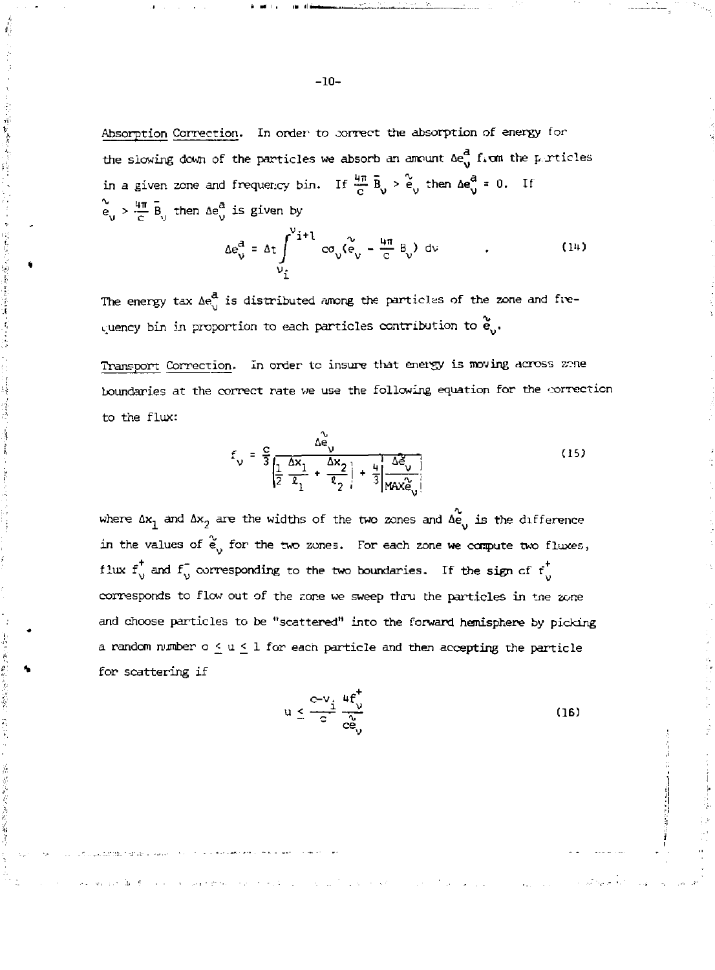Absorption Correction. In order to correct the absorption of energy for the slowing down of the particles we absorb an ancunt  $\Delta e_{ij}^d$  firm the particles in a given zone and frequency bin. If  $\frac{4\pi}{C}$   $\bar{B}_{v} > \frac{6}{C_{v}}$  then  $\Delta e_{v}^{a} = 0$ . If  $e \rightarrow -B$  then  $\Delta e$  is given by

$$
\Delta e_{\nu}^{a} = \Delta t \int_{\nu_{\hat{L}}}^{\nu_{\hat{L}}+1} c \sigma_{\nu} (\tilde{e}_{\nu} - \frac{\mu \pi}{c} B_{\nu}) d\nu
$$
 (14)

The energy tax  $\Delta e_{ij}^{\text{d}}$  is distributed among the particles of the zone and frequency bin in proportion to each particles contribution to  $\stackrel{\sim}{{\bf e}}_{\rm o}.$ 

医毛皮 经不变权利

Transport Correction. In order to insure that energy is moving across zene boundaries at the correct rate we use the following equation for the correction to the flux:

$$
f_{\mathsf{v}} = \frac{c}{3} \frac{\Delta \tilde{\mathbf{e}}_{\mathsf{v}}}{\left| \frac{1}{2} \frac{\Delta \mathbf{x}_1}{\mathbf{e}_1} + \frac{\Delta \mathbf{x}_2}{\mathbf{e}_2} \right| + \frac{1}{3} \frac{\Delta \tilde{\mathbf{e}}_{\mathsf{v}}}{|\mathsf{MAX} \tilde{\mathbf{e}}_{\mathsf{v}}|}
$$
(15)

where  $\Delta x_1$  and  $\Delta x_2$  are the widths of the two zones and  $\Delta \hat{e}$  is the difference in the values of  $\frac{d}{dy}$  for the two zones. For each zone we compute two fluxes, flux  $f_v^{\dagger}$  and  $f_v^{\dagger}$  corresponding to the two boundaries. If the sign of  $f_v^{\dagger}$ corresponds to flow out of the tone we sweep thru the particles in trie *zone*  and choose particles to be "scattered" into the forward hemisphere by picking a random number o <u><</u> u < 1 for each particle and then accepting the particle for scattering if

$$
u \leq \frac{c-v_i}{c} \frac{4f_v^+}{c_{\Theta_v}^2} \tag{16}
$$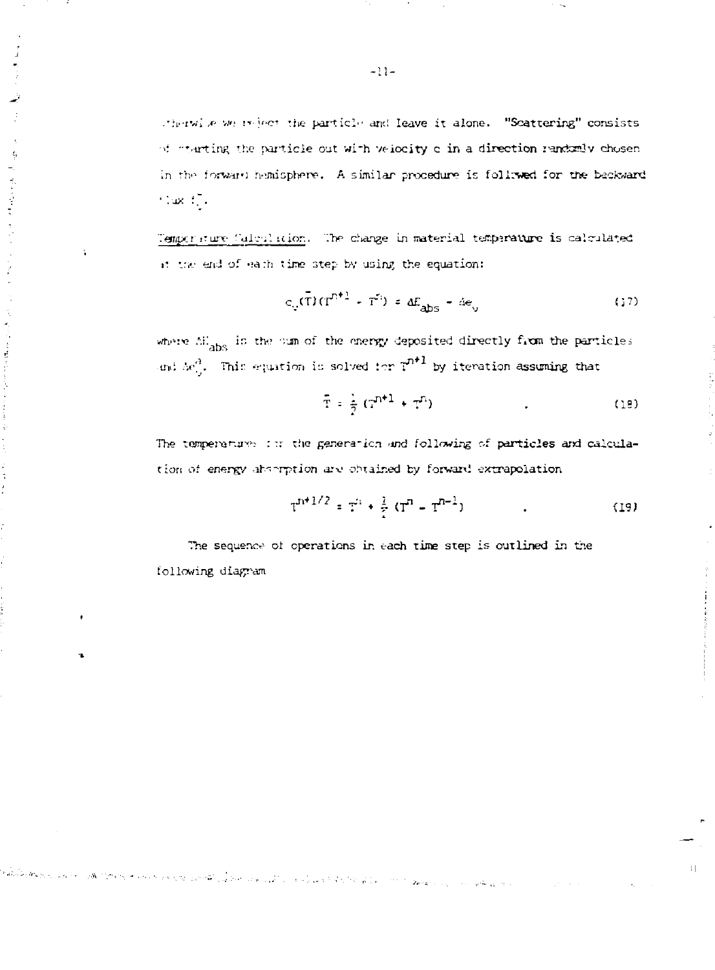stherwise we reject the particle and leave it alone. "Scattering" consists of starting the particle out with velocity c in a direction randomly chosen in the forward hemisphere. A similar procedure is followed for the backward  $\sim 100\,M_\odot$  .

Temporature Calculation. The change in material temperature is calculated it the end of each time step by using the equation:

$$
c_{v}(\bar{T})(T^{n+1} - T^{n}) = aE_{\text{abs}} - a\epsilon_{v}
$$
 (17)

where AH<sub>abs</sub> is the sum of the energy deposited directly from the particles and  $\omega^A$ . This equation is solved for  $\mathfrak{P}^{n\pm 1}$  by iteration assuming that

$$
\bar{T} = \frac{1}{2} (T^{n+1} + T^n) \tag{18}
$$

The temperatures is the generation and following of particles and calculation of energy absorption are obtained by forward extrapolation

$$
T^{n+1/2} = T^{i} + \frac{1}{2} (T^{n} - T^{n-1})
$$
 (19)

 $\left\vert \cdot\right\vert$ 

The sequence of operations in each time step is outlined in the following diagram

of the best construction of the control of the construction of the Constitution of the control department of the

 $-11-$ 

 $\hat{\gamma}$ 

医心理学 医单位

 $\frac{1}{2}$ 

医无间性鼻炎 经经济利润

 $\label{eq:1} \mathcal{P}(\omega_{\text{eff}}^{\text{c}},\omega_{\text{eff}}^{\text{c}},\omega_{\text{eff}}^{\text{c}},\omega_{\text{eff}}^{\text{c}},\omega_{\text{eff}}^{\text{c}},\omega_{\text{eff}}^{\text{c}})$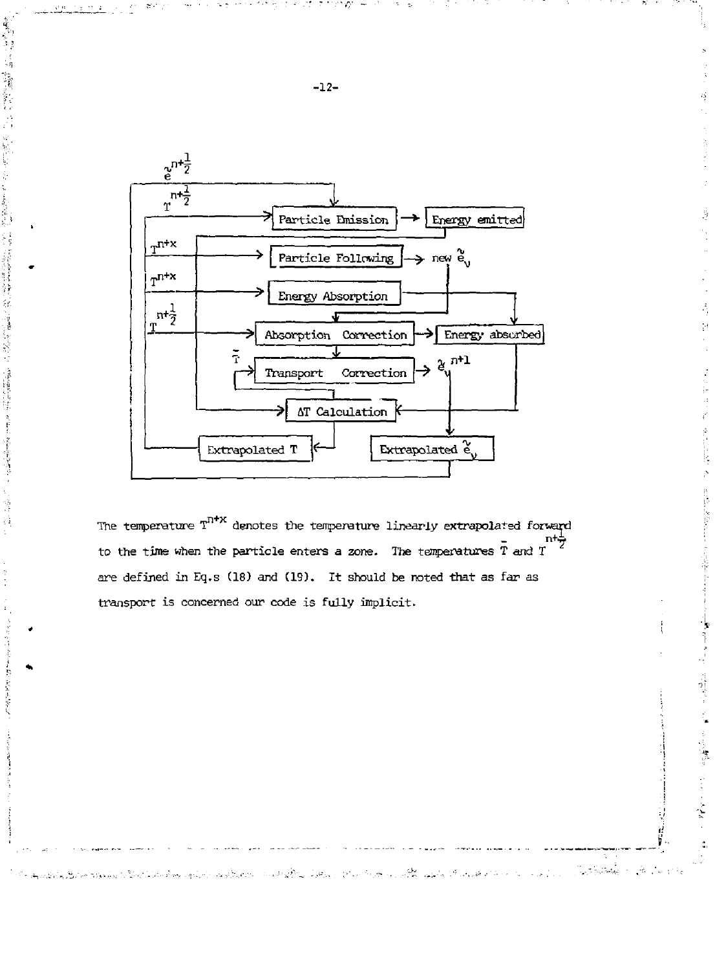

韓国語

アルティング かんしょう アイ・ファイル

1、 医中枢性溃疡 医上肢 医氯化

The temperature  $T^{n\nmid x}$  denotes the temperature linearly extrapolated forward to the time when the particle enters a zone. The temperatures  $\overline{T}$  and  $T$ are defined in Eq.s (18) and (19). It should be noted that as far as transport is concerned our code is fully implicit.

كالمستقام فالمتعارف والموارد والأوران والجراف والمتعارف والأنواق المستعار والمتعارف والمستعار والمتعارف والمستعدي والمستقال

计计算机 医单位

 $\frac{1}{1}$ 

医单管管 化四极

 $\ddot{\cdot}$ 

 $\mathcal{A}=\mathcal{A}$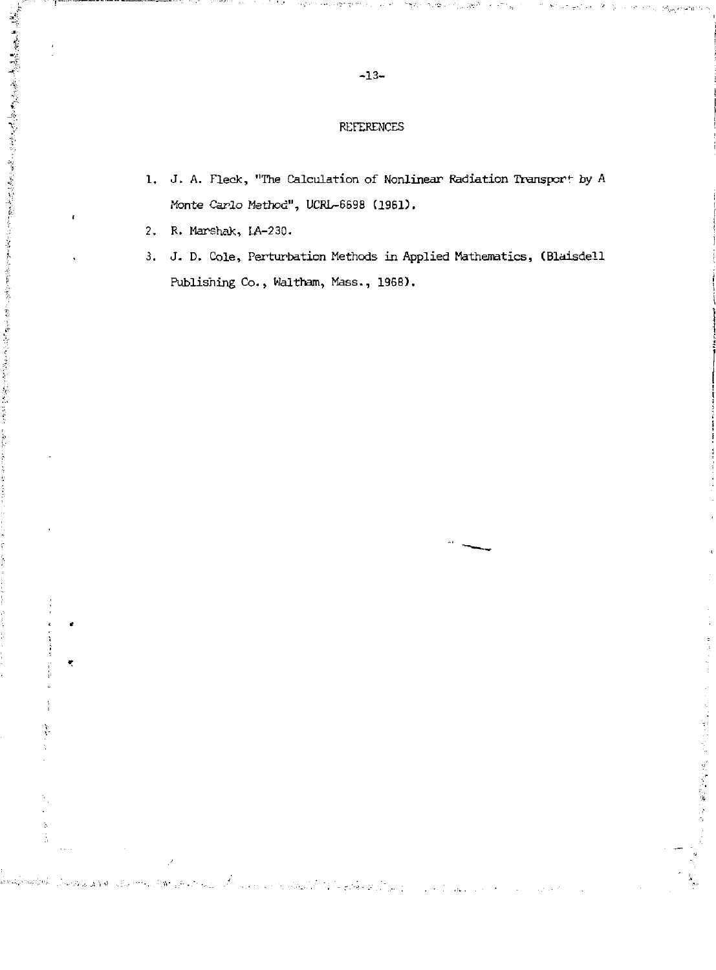### REFERENCES

- 1. J. A. Fleck, "The Calculation of Nonlinear Radiation Transport by A Monte *Carlo* Method", UCRL-6698 (1961).
- 2. R. Marshak, LA-230.

- 小説は、野の老人の境内に、高さのでも現代的などで、そのことをはなくるかとうにしてもあります。また、そのこのことになっているのになることに、小説は、野の老人の境内に、高さのでも現代的などで、そのこと

 $\mathbf{r}$ 

j

 $\ddot{\phi}$ ś

SERVICE STRUCKS

×

3. J. D. Cole, Perturbation Methods in Applied Mathematics, (Blaisdell Publishing Co., Waltham, Mass., 1968).

 $\label{eq:2} \mathcal{L}^{\mathcal{L}}(\mathcal{L}^{\mathcal{L}}) = \mathcal{L}^{\mathcal{L}}(\mathcal{L}^{\mathcal{L}}) = \mathcal{L}^{\mathcal{L}}(\mathcal{L}^{\mathcal{L}}) = \mathcal{L}^{\mathcal{L}}(\mathcal{L}^{\mathcal{L}})$ 

 $\frac{1}{2}$  and  $\frac{1}{2}$  and  $\frac{1}{2}$ 

医牙足 网络阿拉伯 的复数医凯梅氏试验